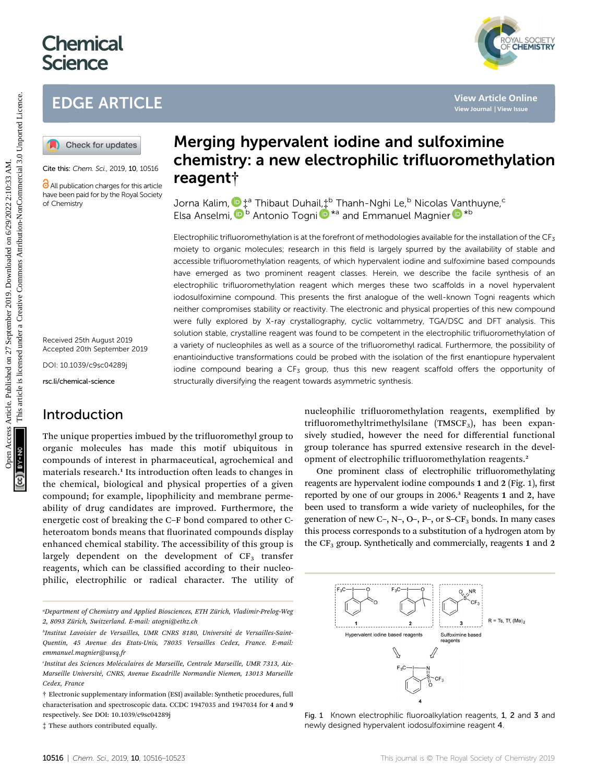# **Chemical Science**

# EDGE ARTICLE



Cite this: Chem. Sci., 2019, 10, 10516

All publication charges for this article have been paid for by the Royal Society of Chemistry

Received 25th August 2019 Accepted 20th September 2019

DOI: 10.1039/c9sc04289j

rsc.li/chemical-science

### Introduction

The unique properties imbued by the trifluoromethyl group to organic molecules has made this motif ubiquitous in compounds of interest in pharmaceutical, agrochemical and materials research.<sup>1</sup> Its introduction often leads to changes in the chemical, biological and physical properties of a given compound; for example, lipophilicity and membrane permeability of drug candidates are improved. Furthermore, the energetic cost of breaking the C–F bond compared to other Cheteroatom bonds means that fluorinated compounds display enhanced chemical stability. The accessibility of this group is largely dependent on the development of  $CF<sub>3</sub>$  transfer reagents, which can be classified according to their nucleophilic, electrophilic or radical character. The utility of

"Department of Chemistry and Applied Biosciences, ETH Zürich, Vladimir-Prelog-Weg 2, 8093 Zürich, Switzerland. E-mail: atogni@ethz.ch

‡ These authors contributed equally.

# Merging hypervalent iodine and sulfoximine chemistry: a new electrophilic trifluoromethylation reagent†

Jorna Kalim,  $\mathbf{D}$ ‡ª Thibaut Duhail, $\ddagger^\text{b}$  Thanh-Nghi Le, $^\text{b}$  Nicolas [Va](http://orcid.org/0000-0003-3392-3971)nthuyne, $^\text{c}$ Elsa Anselmi[,](http://orcid.org/0000-0003-2996-2775) <sup>D b</sup> Anton[i](http://orcid.org/0000-0003-3868-1799)o Togni D<sup>\*a</sup> and Emmanuel Magnier D<sup>\*b</sup>

Electrophilic trifluoromethylation is at the forefront of methodologies available for the installation of the  $CF_3$ moiety to organic molecules; research in this field is largely spurred by the availability of stable and accessible trifluoromethylation reagents, of which hypervalent iodine and sulfoximine based compounds have emerged as two prominent reagent classes. Herein, we describe the facile synthesis of an electrophilic trifluoromethylation reagent which merges these two scaffolds in a novel hypervalent iodosulfoximine compound. This presents the first analogue of the well-known Togni reagents which neither compromises stability or reactivity. The electronic and physical properties of this new compound were fully explored by X-ray crystallography, cyclic voltammetry, TGA/DSC and DFT analysis. This solution stable, crystalline reagent was found to be competent in the electrophilic trifluoromethylation of a variety of nucleophiles as well as a source of the trifluoromethyl radical. Furthermore, the possibility of enantioinductive transformations could be probed with the isolation of the first enantiopure hypervalent iodine compound bearing a  $CF_3$  group, thus this new reagent scaffold offers the opportunity of structurally diversifying the reagent towards asymmetric synthesis. **EDGE ARTICLE**<br> **(a)** Check for updates<br> **(a)** Check for updates<br> **CALIFE ARTICLE**<br> **CALIFE ARTICLE CONDITIES ARTICLE CONDITIES AND CHEMISTRY: a new electrophilic trifluoromethylatic line<br>
Calife Antanton cross an assess** 

nucleophilic trifluoromethylation reagents, exemplified by trifluoromethyltrimethylsilane (TMSCF<sub>3</sub>), has been expansively studied, however the need for differential functional group tolerance has spurred extensive research in the development of electrophilic trifluoromethylation reagents.<sup>2</sup>

One prominent class of electrophilic trifluoromethylating reagents are hypervalent iodine compounds 1 and 2 (Fig. 1), first reported by one of our groups in 2006.<sup>3</sup> Reagents 1 and 2, have been used to transform a wide variety of nucleophiles, for the generation of new C-, N-, O-, P-, or S-CF<sub>3</sub> bonds. In many cases this process corresponds to a substitution of a hydrogen atom by the  $CF<sub>3</sub>$  group. Synthetically and commercially, reagents 1 and 2



Fig. 1 Known electrophilic fluoroalkylation reagents, 1, 2 and 3 and newly designed hypervalent iodosulfoximine reagent 4.

<sup>&</sup>lt;sup>b</sup>Institut Lavoisier de Versailles, UMR CNRS 8180, Université de Versailles-Saint-Quentin, 45 Avenue des Etats-Unis, 78035 Versailles Cedex, France. E-mail: emmanuel.magnier@uvsq.fr

Institut des Sciences Moléculaires de Marseille, Centrale Marseille, UMR 7313, Aix-Marseille Université, CNRS, Avenue Escadrille Normandie Niemen, 13013 Marseille Cedex, France

<sup>†</sup> Electronic supplementary information (ESI) available: Synthetic procedures, full characterisation and spectroscopic data. CCDC 1947035 and 1947034 for 4 and 9 respectively. See DOI: 10.1039/c9sc04289j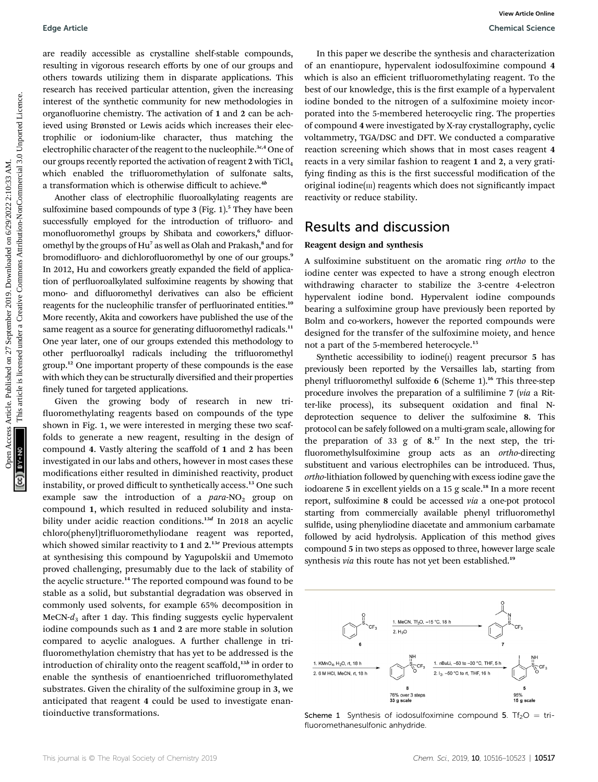are readily accessible as crystalline shelf-stable compounds, resulting in vigorous research efforts by one of our groups and others towards utilizing them in disparate applications. This research has received particular attention, given the increasing interest of the synthetic community for new methodologies in organofluorine chemistry. The activation of 1 and 2 can be achieved using Brønsted or Lewis acids which increases their electrophilic or iodonium-like character, thus matching the electrophilic character of the reagent to the nucleophile.<sup>3c,4</sup> One of our groups recently reported the activation of reagent  $2$  with  $TiCl<sub>4</sub>$ which enabled the trifluoromethylation of sulfonate salts, a transformation which is otherwise difficult to achieve.<sup>4b</sup>

Another class of electrophilic fluoroalkylating reagents are sulfoximine based compounds of type 3 (Fig. 1).<sup>5</sup> They have been successfully employed for the introduction of trifluoro- and monofluoromethyl groups by Shibata and coworkers,<sup>6</sup> difluoromethyl by the groups of Hu<sup>7</sup> as well as Olah and Prakash,<sup>8</sup> and for bromodifluoro- and dichlorofluoromethyl by one of our groups.<sup>9</sup> In 2012, Hu and coworkers greatly expanded the field of application of perfluoroalkylated sulfoximine reagents by showing that mono- and difluoromethyl derivatives can also be efficient reagents for the nucleophilic transfer of perfluorinated entities.<sup>10</sup> More recently, Akita and coworkers have published the use of the same reagent as a source for generating difluoromethyl radicals.<sup>11</sup> One year later, one of our groups extended this methodology to other perfluoroalkyl radicals including the trifluoromethyl group.<sup>12</sup> One important property of these compounds is the ease with which they can be structurally diversified and their properties finely tuned for targeted applications. Edge Article<br>
articles. Article are considered as the state of the state of the state of the state of the state of the state of the state of the state of the state of the state of the state of the state of the state of the

Given the growing body of research in new tri fluoromethylating reagents based on compounds of the type shown in Fig. 1, we were interested in merging these two scaffolds to generate a new reagent, resulting in the design of compound 4. Vastly altering the scaffold of 1 and 2 has been investigated in our labs and others, however in most cases these modifications either resulted in diminished reactivity, product instability, or proved difficult to synthetically access.<sup>13</sup> One such example saw the introduction of a  $para-NO<sub>2</sub>$  group on compound 1, which resulted in reduced solubility and instability under acidic reaction conditions.<sup>13d</sup> In 2018 an acyclic chloro(phenyl)trifluoromethyliodane reagent was reported, which showed similar reactivity to 1 and 2.<sup>13e</sup> Previous attempts at synthesising this compound by Yagupolskii and Umemoto proved challenging, presumably due to the lack of stability of the acyclic structure.<sup>14</sup> The reported compound was found to be stable as a solid, but substantial degradation was observed in commonly used solvents, for example 65% decomposition in MeCN- $d_3$  after 1 day. This finding suggests cyclic hypervalent iodine compounds such as 1 and 2 are more stable in solution compared to acyclic analogues. A further challenge in tri fluoromethylation chemistry that has yet to be addressed is the introduction of chirality onto the reagent scaffold, $13b$  in order to enable the synthesis of enantioenriched trifluoromethylated substrates. Given the chirality of the sulfoximine group in 3, we anticipated that reagent 4 could be used to investigate enantioinductive transformations.

In this paper we describe the synthesis and characterization of an enantiopure, hypervalent iodosulfoximine compound 4 which is also an efficient trifluoromethylating reagent. To the best of our knowledge, this is the first example of a hypervalent iodine bonded to the nitrogen of a sulfoximine moiety incorporated into the 5-membered heterocyclic ring. The properties of compound 4 were investigated by X-ray crystallography, cyclic voltammetry, TGA/DSC and DFT. We conducted a comparative reaction screening which shows that in most cases reagent 4 reacts in a very similar fashion to reagent 1 and 2, a very gratifying finding as this is the first successful modification of the original iodine $(m)$  reagents which does not significantly impact reactivity or reduce stability.

### Results and discussion

### Reagent design and synthesis

A sulfoximine substituent on the aromatic ring ortho to the iodine center was expected to have a strong enough electron withdrawing character to stabilize the 3-centre 4-electron hypervalent iodine bond. Hypervalent iodine compounds bearing a sulfoximine group have previously been reported by Bolm and co-workers, however the reported compounds were designed for the transfer of the sulfoximine moiety, and hence not a part of the 5-membered heterocycle.<sup>15</sup>

Synthetic accessibility to iodine $(i)$  reagent precursor 5 has previously been reported by the Versailles lab, starting from phenyl trifluoromethyl sulfoxide 6 (Scheme 1).<sup>16</sup> This three-step procedure involves the preparation of a sulfilimine 7 (via a Ritter-like process), its subsequent oxidation and final Ndeprotection sequence to deliver the sulfoximine 8. This protocol can be safely followed on a multi-gram scale, allowing for the preparation of 33 g of 8. <sup>17</sup> In the next step, the tri fluoromethylsulfoximine group acts as an *ortho-directing* substituent and various electrophiles can be introduced. Thus, ortho-lithiation followed by quenching with excess iodine gave the iodoarene 5 in excellent yields on a 15 g scale.<sup>18</sup> In a more recent report, sulfoximine 8 could be accessed via a one-pot protocol starting from commercially available phenyl trifluoromethyl sulfide, using phenyliodine diacetate and ammonium carbamate followed by acid hydrolysis. Application of this method gives compound 5 in two steps as opposed to three, however large scale synthesis via this route has not yet been established.<sup>19</sup>



Scheme 1 Synthesis of iodosulfoximine compound 5. Tf<sub>2</sub>O = trifluoromethanesulfonic anhydride.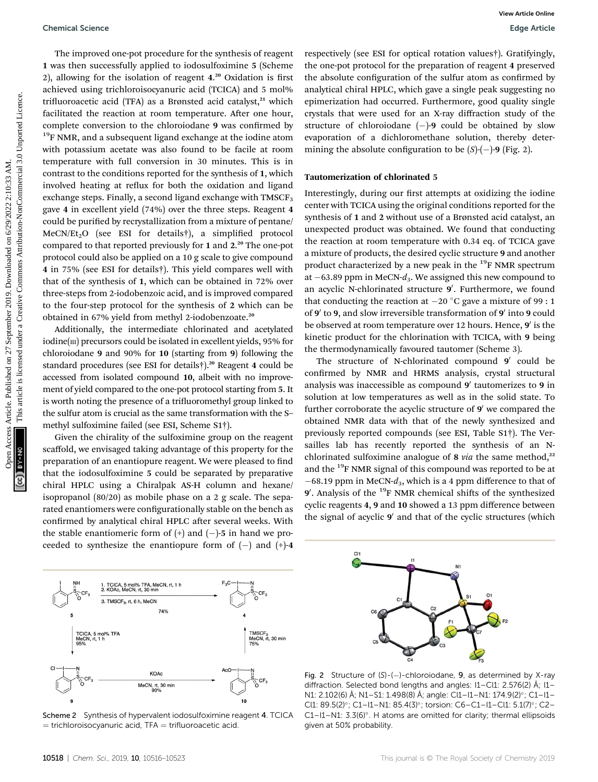The improved one-pot procedure for the synthesis of reagent 1 was then successfully applied to iodosulfoximine 5 (Scheme 2), allowing for the isolation of reagent 4.<sup>20</sup> Oxidation is first achieved using trichloroisocyanuric acid (TCICA) and 5 mol% trifluoroacetic acid (TFA) as a Brønsted acid catalyst, $21$  which facilitated the reaction at room temperature. After one hour, complete conversion to the chloroiodane 9 was confirmed by <sup>19</sup>F NMR, and a subsequent ligand exchange at the iodine atom with potassium acetate was also found to be facile at room temperature with full conversion in 30 minutes. This is in contrast to the conditions reported for the synthesis of 1, which involved heating at reflux for both the oxidation and ligand exchange steps. Finally, a second ligand exchange with  $TMSCF<sub>3</sub>$ gave 4 in excellent yield (74%) over the three steps. Reagent 4 could be purified by recrystallization from a mixture of pentane/  $MeCN/Et_2O$  (see ESI for details†), a simplified protocol compared to that reported previously for 1 and 2. <sup>20</sup> The one-pot protocol could also be applied on a 10 g scale to give compound 4 in 75% (see ESI for details†). This yield compares well with that of the synthesis of 1, which can be obtained in 72% over three-steps from 2-iodobenzoic acid, and is improved compared to the four-step protocol for the synthesis of 2 which can be obtained in 67% yield from methyl 2-iodobenzoate.<sup>20</sup> Obemical Science<br>
The improved one-published on Solution for the published on 2019. The interaction of the symbol common and the proposition of the proposition of the proposition of the effects are the interaction of the

Additionally, the intermediate chlorinated and acetylated iodine(III) precursors could be isolated in excellent yields, 95% for chloroiodane 9 and 90% for 10 (starting from 9) following the standard procedures (see ESI for details†).<sup>20</sup> Reagent 4 could be accessed from isolated compound 10, albeit with no improvement of yield compared to the one-pot protocol starting from 5. It is worth noting the presence of a trifluoromethyl group linked to the sulfur atom is crucial as the same transformation with the S– methyl sulfoximine failed (see ESI, Scheme S1†).

Given the chirality of the sulfoximine group on the reagent scaffold, we envisaged taking advantage of this property for the preparation of an enantiopure reagent. We were pleased to find that the iodosulfoximine 5 could be separated by preparative chiral HPLC using a Chiralpak AS-H column and hexane/ isopropanol (80/20) as mobile phase on a 2 g scale. The separated enantiomers were configurationally stable on the bench as confirmed by analytical chiral HPLC after several weeks. With the stable enantiomeric form of  $(+)$  and  $(-)$ -5 in hand we proceeded to synthesize the enantiopure form of  $(-)$  and  $(+)$ -4



respectively (see ESI for optical rotation values†). Gratifyingly, the one-pot protocol for the preparation of reagent 4 preserved the absolute configuration of the sulfur atom as confirmed by analytical chiral HPLC, which gave a single peak suggesting no epimerization had occurred. Furthermore, good quality single crystals that were used for an X-ray diffraction study of the structure of chloroiodane  $(-)$ -9 could be obtained by slow evaporation of a dichloromethane solution, thereby determining the absolute configuration to be  $(S)-(-9)$  (Fig. 2).

### Tautomerization of chlorinated 5

Interestingly, during our first attempts at oxidizing the iodine center with TCICA using the original conditions reported for the synthesis of 1 and 2 without use of a Brønsted acid catalyst, an unexpected product was obtained. We found that conducting the reaction at room temperature with 0.34 eq. of TCICA gave a mixture of products, the desired cyclic structure 9 and another product characterized by a new peak in the  $^{19}$ F NMR spectrum at  $-63.89$  ppm in MeCN- $d_3$ . We assigned this new compound to an acyclic N-chlorinated structure **9**′. Furthermore, we found that conducting the reaction at  $-20\text{ °C}$  gave a mixture of 99 : 1 of 9' to 9, and slow irreversible transformation of 9' into 9 could be observed at room temperature over 12 hours. Hence, 9' is the kinetic product for the chlorination with TCICA, with 9 being the thermodynamically favoured tautomer (Scheme 3).

The structure of N-chlorinated compound  $9'$  could be confirmed by NMR and HRMS analysis, crystal structural analysis was inaccessible as compound  $9'$  tautomerizes to  $9$  in solution at low temperatures as well as in the solid state. To further corroborate the acyclic structure of  $9'$  we compared the obtained NMR data with that of the newly synthesized and previously reported compounds (see ESI, Table S1†). The Versailles lab has recently reported the synthesis of an Nchlorinated sulfoximine analogue of  $8$  via the same method,<sup>22</sup> and the <sup>19</sup>F NMR signal of this compound was reported to be at  $-68.19$  ppm in MeCN- $d_3$ , which is a 4 ppm difference to that of 9'. Analysis of the <sup>19</sup>F NMR chemical shifts of the synthesized cyclic reagents 4, 9 and 10 showed a 13 ppm difference between the signal of acyclic 9' and that of the cyclic structures (which



Fig. 2 Structure of (S)-(-)-chloroiodane, 9, as determined by X-ray diffraction. Selected bond lengths and angles:  $11 - Cl1$ : 2.576(2) Å;  $11 - Cl1$ N1: 2.102(6) Å; N1-S1: 1.498(8) Å; angle: Cl1-l1-N1: 174.9(2)°; C1-l1-Cl1: 89.5(2)°; C1-I1-N1: 85.4(3)°; torsion: C6-C1-I1-Cl1: 5.1(7)°; C2-C1-I1-N1:  $3.3(6)^\circ$ . H atoms are omitted for clarity; thermal ellipsoids given at 50% probability.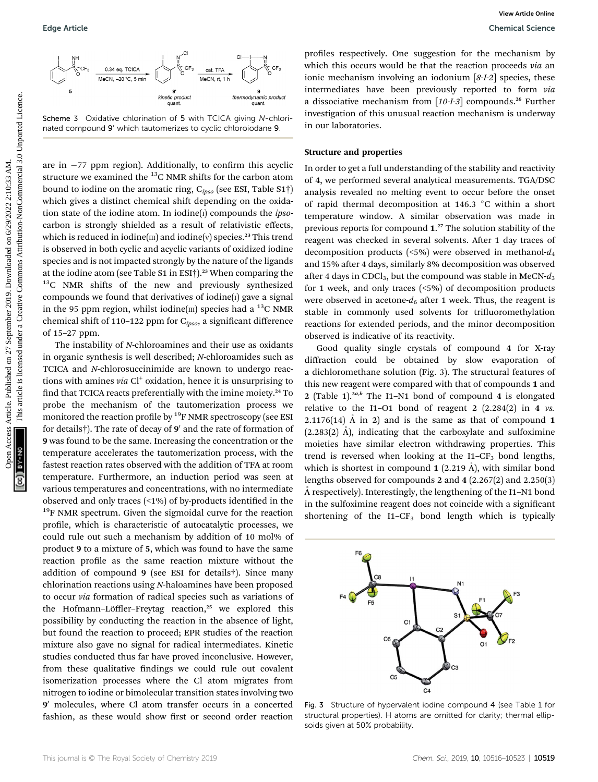

Scheme 3 Oxidative chlorination of 5 with TCICA giving N-chlorinated compound 9' which tautomerizes to cyclic chloroiodane 9

are in  $-77$  ppm region). Additionally, to confirm this acyclic structure we examined the  $^{13}$ C NMR shifts for the carbon atom bound to iodine on the aromatic ring,  $C_{ipso}$  (see ESI, Table S1†) which gives a distinct chemical shift depending on the oxidation state of the iodine atom. In iodine $(i)$  compounds the *ipso*carbon is strongly shielded as a result of relativistic effects, which is reduced in iodine( $\pi$ ) and iodine( $\nu$ ) species.<sup>23</sup> This trend is observed in both cyclic and acyclic variants of oxidized iodine species and is not impacted strongly by the nature of the ligands at the iodine atom (see Table S1 in ESI $\dagger$ ).<sup>23</sup> When comparing the  $13^{\circ}$ C NMR shifts of the new and previously synthesized compounds we found that derivatives of iodine $(i)$  gave a signal in the 95 ppm region, whilst iodine  $(m)$  species had a <sup>13</sup>C NMR chemical shift of 110-122 ppm for  $C_{ipso}$ , a significant difference of 15–27 ppm. Edge Article<br>
Commission Commission Commission Commission Commission Commission Commission Commission Commission Commission Commission Commission Commission Commission Commission Commission Commission Commission Commissio

The instability of N-chloroamines and their use as oxidants in organic synthesis is well described; N-chloroamides such as TCICA and N-chlorosuccinimide are known to undergo reactions with amines via  $Cl<sup>+</sup>$  oxidation, hence it is unsurprising to find that TCICA reacts preferentially with the imine moiety.<sup>24</sup> To probe the mechanism of the tautomerization process we monitored the reaction profile by <sup>19</sup>F NMR spectroscopy (see ESI for details†). The rate of decay of  $9'$  and the rate of formation of 9 was found to be the same. Increasing the concentration or the temperature accelerates the tautomerization process, with the fastest reaction rates observed with the addition of TFA at room temperature. Furthermore, an induction period was seen at various temperatures and concentrations, with no intermediate observed and only traces  $($  < 1%) of by-products identified in the <sup>19</sup>F NMR spectrum. Given the sigmoidal curve for the reaction profile, which is characteristic of autocatalytic processes, we could rule out such a mechanism by addition of 10 mol% of product 9 to a mixture of 5, which was found to have the same reaction profile as the same reaction mixture without the addition of compound 9 (see ESI for details†). Since many chlorination reactions using N-haloamines have been proposed to occur via formation of radical species such as variations of the Hofmann-Löffler-Freytag reaction,<sup>25</sup> we explored this possibility by conducting the reaction in the absence of light, but found the reaction to proceed; EPR studies of the reaction mixture also gave no signal for radical intermediates. Kinetic studies conducted thus far have proved inconclusive. However, from these qualitative findings we could rule out covalent isomerization processes where the Cl atom migrates from nitrogen to iodine or bimolecular transition states involving two 9<sup>'</sup> molecules, where Cl atom transfer occurs in a concerted fashion, as these would show first or second order reaction

profiles respectively. One suggestion for the mechanism by which this occurs would be that the reaction proceeds via an ionic mechanism involving an iodonium [8-I-2] species, these intermediates have been previously reported to form via a dissociative mechanism from  $[10-I-3]$  compounds.<sup>26</sup> Further investigation of this unusual reaction mechanism is underway in our laboratories.

#### Structure and properties

In order to get a full understanding of the stability and reactivity of 4, we performed several analytical measurements. TGA/DSC analysis revealed no melting event to occur before the onset of rapid thermal decomposition at 146.3  $\degree$ C within a short temperature window. A similar observation was made in previous reports for compound 1. <sup>27</sup> The solution stability of the reagent was checked in several solvents. After 1 day traces of decomposition products (<5%) were observed in methanol- $d_4$ and 15% after 4 days, similarly 8% decomposition was observed after 4 days in CDCl<sub>3</sub>, but the compound was stable in MeCN- $d_3$ for 1 week, and only traces (<5%) of decomposition products were observed in acetone- $d_6$  after 1 week. Thus, the reagent is stable in commonly used solvents for trifluoromethylation reactions for extended periods, and the minor decomposition observed is indicative of its reactivity.

Good quality single crystals of compound 4 for X-ray diffraction could be obtained by slow evaporation of a dichloromethane solution (Fig. 3). The structural features of this new reagent were compared with that of compounds 1 and 2 (Table 1).<sup>3a,b</sup> The I1-N1 bond of compound 4 is elongated relative to the I1-O1 bond of reagent 2  $(2.284(2)$  in 4 vs. 2.1176(14)  $\AA$  in 2) and is the same as that of compound 1  $(2.283(2)$  Å), indicating that the carboxylate and sulfoximine moieties have similar electron withdrawing properties. This trend is reversed when looking at the I1– $CF_3$  bond lengths, which is shortest in compound 1 (2.219  $\AA$ ), with similar bond lengths observed for compounds 2 and 4 (2.267(2) and 2.250(3) A respectively). Interestingly, the lengthening of the I1–N1 bond in the sulfoximine reagent does not coincide with a significant shortening of the  $I1-CF_3$  bond length which is typically



Fig. 3 Structure of hypervalent iodine compound 4 (see Table 1 for structural properties). H atoms are omitted for clarity; thermal ellipsoids given at 50% probability.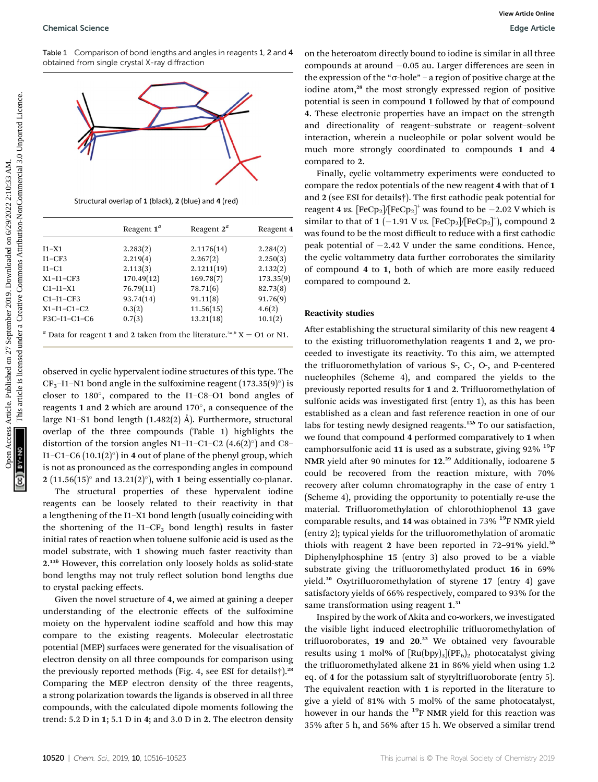Table 1 Comparison of bond lengths and angles in reagents 1, 2 and 4 obtained from single crystal X-ray diffraction



| Reagent $1^a$ | Reagent $2^a$ | Reagent 4 |
|---------------|---------------|-----------|
| 2.283(2)      | 2.1176(14)    | 2.284(2)  |
| 2.219(4)      | 2.267(2)      | 2.250(3)  |
| 2.113(3)      | 2.1211(19)    | 2.132(2)  |
| 170.49(12)    | 169.78(7)     | 173.35(9) |
| 76.79(11)     | 78.71(6)      | 82.73(8)  |
| 93.74(14)     | 91.11(8)      | 91.76(9)  |
| 0.3(2)        |               | 4.6(2)    |
| 0.7(3)        | 13.21(18)     | 10.1(2)   |
|               |               | 11.56(15) |

observed in cyclic hypervalent iodine structures of this type. The  $CF_3$ -I1–N1 bond angle in the sulfoximine reagent (173.35(9)°) is closer to  $180^\circ$ , compared to the I1–C8–O1 bond angles of reagents 1 and 2 which are around  $170^\circ$ , a consequence of the large N1–S1 bond length  $(1.482(2)$  Å). Furthermore, structural overlap of the three compounds (Table 1) highlights the distortion of the torsion angles N1-I1-C1-C2  $(4.6(2)°)$  and C8-I1–C1–C6  $(10.1(2)°)$  in 4 out of plane of the phenyl group, which is not as pronounced as the corresponding angles in compound 2 (11.56(15) $^{\circ}$  and 13.21(2) $^{\circ}$ ), with 1 being essentially co-planar.

The structural properties of these hypervalent iodine reagents can be loosely related to their reactivity in that a lengthening of the I1–X1 bond length (usually coinciding with the shortening of the  $I1-CF_3$  bond length) results in faster initial rates of reaction when toluene sulfonic acid is used as the model substrate, with 1 showing much faster reactivity than 2.<sup>13b</sup> However, this correlation only loosely holds as solid-state bond lengths may not truly reflect solution bond lengths due to crystal packing effects.

Given the novel structure of 4, we aimed at gaining a deeper understanding of the electronic effects of the sulfoximine moiety on the hypervalent iodine scaffold and how this may compare to the existing reagents. Molecular electrostatic potential (MEP) surfaces were generated for the visualisation of electron density on all three compounds for comparison using the previously reported methods (Fig. 4, see ESI for details†).<sup>28</sup> Comparing the MEP electron density of the three reagents, a strong polarization towards the ligands is observed in all three compounds, with the calculated dipole moments following the trend: 5.2 D in 1; 5.1 D in 4; and 3.0 D in 2. The electron density

on the heteroatom directly bound to iodine is similar in all three compounds at around -0.05 au. Larger differences are seen in the expression of the " $\sigma$ -hole" – a region of positive charge at the iodine atom,<sup>28</sup> the most strongly expressed region of positive potential is seen in compound 1 followed by that of compound 4. These electronic properties have an impact on the strength and directionality of reagent–substrate or reagent–solvent interaction, wherein a nucleophile or polar solvent would be much more strongly coordinated to compounds 1 and 4 compared to 2.

Finally, cyclic voltammetry experiments were conducted to compare the redox potentials of the new reagent 4 with that of 1 and 2 (see ESI for details†). The first cathodic peak potential for reagent 4 vs.  $[FeCp_2]/[FeCp_2]^+$  was found to be  $-2.02$  V which is similar to that of 1 (-1.91 V vs. [FeCp<sub>2</sub>]/[FeCp<sub>2</sub>]<sup>+</sup>], compound 2 was found to be the most difficult to reduce with a first cathodic peak potential of  $-2.42$  V under the same conditions. Hence, the cyclic voltammetry data further corroborates the similarity of compound 4 to 1, both of which are more easily reduced compared to compound 2.

#### Reactivity studies

After establishing the structural similarity of this new reagent 4 to the existing trifluoromethylation reagents 1 and 2, we proceeded to investigate its reactivity. To this aim, we attempted the trifluoromethylation of various S-, C-, O-, and P-centered nucleophiles (Scheme 4), and compared the yields to the previously reported results for 1 and 2. Trifluoromethylation of sulfonic acids was investigated first (entry 1), as this has been established as a clean and fast reference reaction in one of our labs for testing newly designed reagents.<sup>13b</sup> To our satisfaction, we found that compound 4 performed comparatively to 1 when camphorsulfonic acid 11 is used as a substrate, giving 92%  $^{19}$ F NMR yield after 90 minutes for 12.<sup>29</sup> Additionally, iodoarene 5 could be recovered from the reaction mixture, with 70% recovery after column chromatography in the case of entry 1 (Scheme 4), providing the opportunity to potentially re-use the material. Trifluoromethylation of chlorothiophenol 13 gave comparable results, and 14 was obtained in  $73\%$  <sup>19</sup>F NMR yield (entry 2); typical yields for the trifluoromethylation of aromatic thiols with reagent 2 have been reported in  $72-91\%$  yield.<sup>3b</sup> Diphenylphosphine 15 (entry 3) also proved to be a viable substrate giving the trifluoromethylated product 16 in 69% yield.<sup>30</sup> Oxytrifluoromethylation of styrene 17 (entry 4) gave satisfactory yields of 66% respectively, compared to 93% for the same transformation using reagent 1.<sup>31</sup> Openical Selence<br>
Total Systems Article are also are also are also are also are also are also are also are also are also are also are also are also are also are also are also are also are also are also are also are also a

> Inspired by the work of Akita and co-workers, we investigated the visible light induced electrophilic trifluoromethylation of trifluoroborates, 19 and 20.<sup>32</sup> We obtained very favourable results using 1 mol% of  $[Ru(bpy)_3](PF_6)_2$  photocatalyst giving the trifluoromethylated alkene 21 in 86% yield when using 1.2 eq. of 4 for the potassium salt of styryltrifluoroborate (entry 5). The equivalent reaction with 1 is reported in the literature to give a yield of 81% with 5 mol% of the same photocatalyst, however in our hands the <sup>19</sup>F NMR yield for this reaction was 35% after 5 h, and 56% after 15 h. We observed a similar trend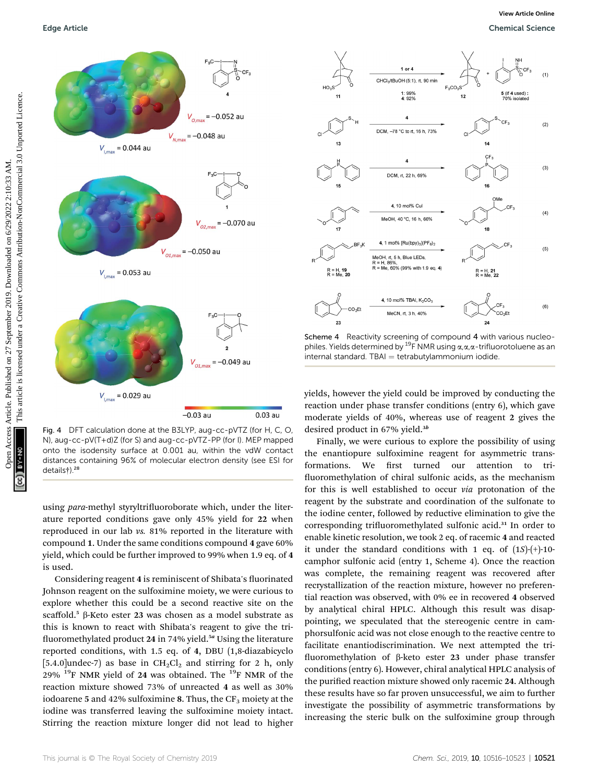

Fig. 4 DFT calculation done at the B3LYP, aug-cc-pVTZ (for H, C, O, N), aug-cc-pV(T+d)Z (for S) and aug-cc-pVTZ-PP (for I). MEP mapped onto the isodensity surface at 0.001 au, within the vdW contact distances containing 96% of molecular electron density (see ESI for details†).<sup>28</sup>

using para-methyl styryltrifluoroborate which, under the literature reported conditions gave only 45% yield for 22 when reproduced in our lab vs. 81% reported in the literature with compound 1. Under the same conditions compound 4 gave 60% yield, which could be further improved to 99% when 1.9 eq. of 4 is used.

Considering reagent 4 is reminiscent of Shibata's fluorinated Johnson reagent on the sulfoximine moiety, we were curious to explore whether this could be a second reactive site on the scaffold.<sup>5</sup> β-Keto ester 23 was chosen as a model substrate as this is known to react with Shibata's reagent to give the tri fluoromethylated product 24 in 74% yield.<sup>5a</sup> Using the literature reported conditions, with 1.5 eq. of 4, DBU (1,8-diazabicyclo [5.4.0]undec-7) as base in  $CH_2Cl_2$  and stirring for 2 h, only 29%  $^{19}$ F NMR yield of 24 was obtained. The  $^{19}$ F NMR of the reaction mixture showed 73% of unreacted 4 as well as 30% iodoarene 5 and 42% sulfoximine 8. Thus, the  $CF_3$  moiety at the iodine was transferred leaving the sulfoximine moiety intact. Stirring the reaction mixture longer did not lead to higher



Scheme 4 Reactivity screening of compound 4 with various nucleophiles. Yields determined by <sup>19</sup>F NMR using  $\alpha, \alpha, \alpha$ -trifluorotoluene as an  $internal standard. TBAI = tetrabutylammonium iodide$ 

yields, however the yield could be improved by conducting the reaction under phase transfer conditions (entry 6), which gave moderate yields of 40%, whereas use of reagent 2 gives the desired product in 67% yield.<sup>3b</sup>

Finally, we were curious to explore the possibility of using the enantiopure sulfoximine reagent for asymmetric transformations. We first turned our attention to trifluoromethylation of chiral sulfonic acids, as the mechanism for this is well established to occur via protonation of the reagent by the substrate and coordination of the sulfonate to the iodine center, followed by reductive elimination to give the corresponding trifluoromethylated sulfonic acid.<sup>31</sup> In order to enable kinetic resolution, we took 2 eq. of racemic 4 and reacted it under the standard conditions with 1 eq. of  $(1S)$ - $(+)$ -10camphor sulfonic acid (entry 1, Scheme 4). Once the reaction was complete, the remaining reagent was recovered after recrystallization of the reaction mixture, however no preferential reaction was observed, with 0% ee in recovered 4 observed by analytical chiral HPLC. Although this result was disappointing, we speculated that the stereogenic centre in camphorsulfonic acid was not close enough to the reactive centre to facilitate enantiodiscrimination. We next attempted the tri fluoromethylation of  $\beta$ -keto ester 23 under phase transfer conditions (entry 6). However, chiral analytical HPLC analysis of the purified reaction mixture showed only racemic 24. Although these results have so far proven unsuccessful, we aim to further investigate the possibility of asymmetric transformations by increasing the steric bulk on the sulfoximine group through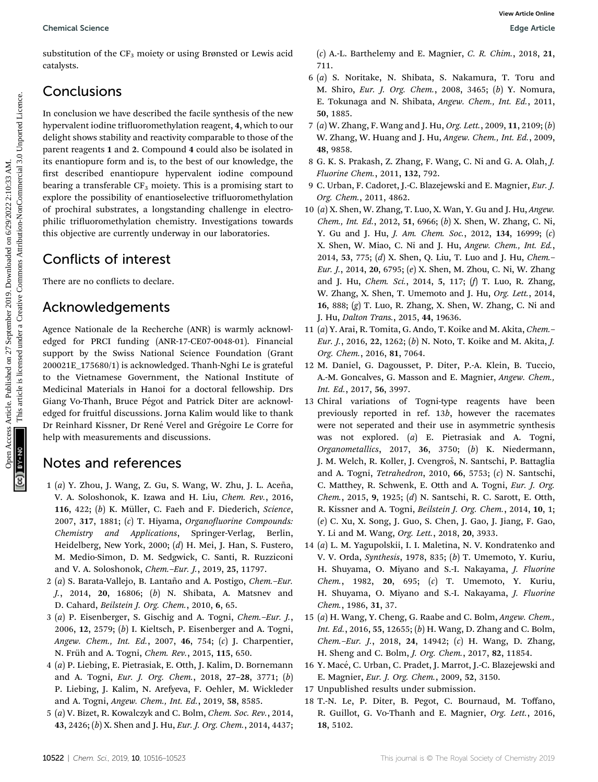substitution of the  $CF_3$  moiety or using Brønsted or Lewis acid catalysts.

# Conclusions

In conclusion we have described the facile synthesis of the new hypervalent iodine trifluoromethylation reagent, 4, which to our delight shows stability and reactivity comparable to those of the parent reagents 1 and 2. Compound 4 could also be isolated in its enantiopure form and is, to the best of our knowledge, the first described enantiopure hypervalent iodine compound bearing a transferable  $CF_3$  moiety. This is a promising start to explore the possibility of enantioselective trifluoromethylation of prochiral substrates, a longstanding challenge in electrophilic trifluoromethylation chemistry. Investigations towards this objective are currently underway in our laboratories. Openical Science<br>
Subsections Article. Published on 27 A.1. Battle<br>
Subsections Articles. A Sighting, ASCE, 2019. 2019. 21<br>
Concellusions Article 2019. A Sighting and N. Shipling, N. Shipling, N. Shipling, N. Shipling, N.

# Conflicts of interest

There are no conflicts to declare.

## Acknowledgements

Agence Nationale de la Recherche (ANR) is warmly acknowledged for PRCI funding (ANR-17-CE07-0048-01). Financial support by the Swiss National Science Foundation (Grant 200021E\_175680/1) is acknowledged. Thanh-Nghi Le is grateful to the Vietnamese Government, the National Institute of Medicinal Materials in Hanoi for a doctoral fellowship. Drs Giang Vo-Thanh, Bruce Pégot and Patrick Diter are acknowledged for fruitful discussions. Jorna Kalim would like to thank Dr Reinhard Kissner, Dr René Verel and Grégoire Le Corre for help with measurements and discussions.

# Notes and references

- 1 (a) Y. Zhou, J. Wang, Z. Gu, S. Wang, W. Zhu, J. L. Aceña, V. A. Soloshonok, K. Izawa and H. Liu, Chem. Rev., 2016, 116, 422;  $(b)$  K. Müller, C. Faeh and F. Diederich, Science,  $2007, 317, 1881;$  (c) T. Hiyama, Organofluorine Compounds: Chemistry and Applications, Springer-Verlag, Berlin, Heidelberg, New York, 2000; (d) H. Mei, J. Han, S. Fustero, M. Medio-Simon, D. M. Sedgwick, C. Santi, R. Ruzziconi and V. A. Soloshonok, Chem.–Eur. J., 2019, 25, 11797.
- $2$  (a) S. Barata-Vallejo, B. Lantaño and A. Postigo, Chem.-Eur. J., 2014, 20, 16806; (b) N. Shibata, A. Matsnev and D. Cahard, Beilstein J. Org. Chem., 2010, 6, 65.
- 3 (a) P. Eisenberger, S. Gischig and A. Togni, Chem.–Eur. J., 2006, 12, 2579; (b) I. Kieltsch, P. Eisenberger and A. Togni, Angew. Chem., Int. Ed., 2007, 46, 754; (c) J. Charpentier, N. Früh and A. Togni, *Chem. Rev.*, 2015, 115, 650.
- 4 (a) P. Liebing, E. Pietrasiak, E. Otth, J. Kalim, D. Bornemann and A. Togni, Eur. J. Org. Chem., 2018, 27–28, 3771; (b) P. Liebing, J. Kalim, N. Arefyeva, F. Oehler, M. Wickleder and A. Togni, Angew. Chem., Int. Ed., 2019, 58, 8585.
- 5 (a) V. Bizet, R. Kowalczyk and C. Bolm, Chem. Soc. Rev., 2014, 43, 2426; (b) X. Shen and J. Hu, Eur. J. Org. Chem., 2014, 4437;

(c) A.-L. Barthelemy and E. Magnier, C. R. Chim., 2018, 21, 711.

- 6 (a) S. Noritake, N. Shibata, S. Nakamura, T. Toru and M. Shiro, Eur. J. Org. Chem., 2008, 3465; (b) Y. Nomura, E. Tokunaga and N. Shibata, Angew. Chem., Int. Ed., 2011, 50, 1885.
- 7 (a) W. Zhang, F. Wang and J. Hu, Org. Lett., 2009, 11, 2109; (b) W. Zhang, W. Huang and J. Hu, Angew. Chem., Int. Ed., 2009, 48, 9858.
- 8 G. K. S. Prakash, Z. Zhang, F. Wang, C. Ni and G. A. Olah, J. Fluorine Chem., 2011, 132, 792.
- 9 C. Urban, F. Cadoret, J.-C. Blazejewski and E. Magnier, Eur. J. Org. Chem., 2011, 4862.
- 10 (a) X. Shen, W. Zhang, T. Luo, X. Wan, Y. Gu and J. Hu, Angew. Chem., Int. Ed., 2012, 51, 6966; (b) X. Shen, W. Zhang, C. Ni, Y. Gu and J. Hu, *J. Am. Chem. Soc.*, 2012, 134, 16999; (c) X. Shen, W. Miao, C. Ni and J. Hu, Angew. Chem., Int. Ed., 2014, 53, 775; (d) X. Shen, Q. Liu, T. Luo and J. Hu, Chem.– Eur. J., 2014, 20, 6795; (e) X. Shen, M. Zhou, C. Ni, W. Zhang and J. Hu, Chem. Sci., 2014, 5, 117; (f) T. Luo, R. Zhang, W. Zhang, X. Shen, T. Umemoto and J. Hu, Org. Lett., 2014, 16, 888; (g) T. Luo, R. Zhang, X. Shen, W. Zhang, C. Ni and J. Hu, Dalton Trans., 2015, 44, 19636.
- 11 (a) Y. Arai, R. Tomita, G. Ando, T. Koike and M. Akita, Chem.– Eur. J., 2016, 22, 1262; (b) N. Noto, T. Koike and M. Akita, J. Org. Chem., 2016, 81, 7064.
- 12 M. Daniel, G. Dagousset, P. Diter, P.-A. Klein, B. Tuccio, A.-M. Goncalves, G. Masson and E. Magnier, Angew. Chem., Int. Ed., 2017, 56, 3997.
- 13 Chiral variations of Togni-type reagents have been previously reported in ref. 13b, however the racemates were not seperated and their use in asymmetric synthesis was not explored. (a) E. Pietrasiak and A. Togni, Organometallics, 2017, 36, 3750; (b) K. Niedermann, J. M. Welch, R. Koller, J. Cvengroš, N. Santschi, P. Battaglia and A. Togni, Tetrahedron, 2010, 66, 5753; (c) N. Santschi, C. Matthey, R. Schwenk, E. Otth and A. Togni, Eur. J. Org. Chem., 2015, 9, 1925; (d) N. Santschi, R. C. Sarott, E. Otth, R. Kissner and A. Togni, Beilstein J. Org. Chem., 2014, 10, 1; (e) C. Xu, X. Song, J. Guo, S. Chen, J. Gao, J. Jiang, F. Gao, Y. Li and M. Wang, Org. Lett., 2018, 20, 3933.
- 14 (a) L. M. Yagupolskii, I. I. Maletina, N. V. Kondratenko and V. V. Orda, Synthesis, 1978, 835; (b) T. Umemoto, Y. Kuriu, H. Shuyama, O. Miyano and S.-I. Nakayama, J. Fluorine Chem., 1982, 20, 695; (c) T. Umemoto, Y. Kuriu, H. Shuyama, O. Miyano and S.-I. Nakayama, J. Fluorine Chem., 1986, 31, 37.
- 15 (a) H. Wang, Y. Cheng, G. Raabe and C. Bolm, Angew. Chem., Int. Ed., 2016, 55, 12655; (b) H. Wang, D. Zhang and C. Bolm, Chem.–Eur. J., 2018, 24, 14942; (c) H. Wang, D. Zhang, H. Sheng and C. Bolm, J. Org. Chem., 2017, 82, 11854.
- 16 Y. Macé, C. Urban, C. Pradet, J. Marrot, J.-C. Blazejewski and E. Magnier, Eur. J. Org. Chem., 2009, 52, 3150.
- 17 Unpublished results under submission.
- 18 T.-N. Le, P. Diter, B. Pegot, C. Bournaud, M. Toffano, R. Guillot, G. Vo-Thanh and E. Magnier, Org. Lett., 2016, 18, 5102.